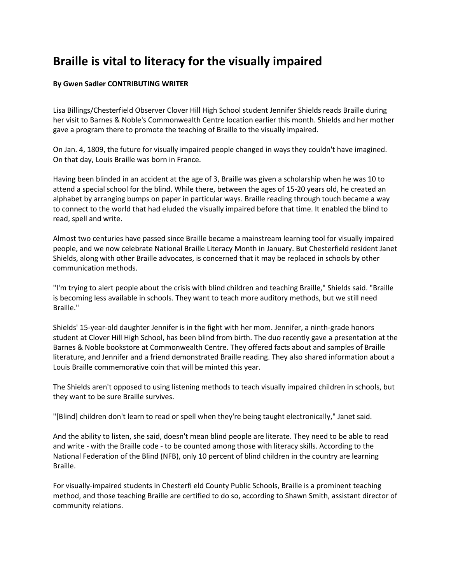## **Braille is vital to literacy for the visually impaired**

## **By Gwen Sadler CONTRIBUTING WRITER**

Lisa Billings/Chesterfield Observer Clover Hill High School student Jennifer Shields reads Braille during her visit to Barnes & Noble's Commonwealth Centre location earlier this month. Shields and her mother gave a program there to promote the teaching of Braille to the visually impaired.

On Jan. 4, 1809, the future for visually impaired people changed in ways they couldn't have imagined. On that day, Louis Braille was born in France.

Having been blinded in an accident at the age of 3, Braille was given a scholarship when he was 10 to attend a special school for the blind. While there, between the ages of 15-20 years old, he created an alphabet by arranging bumps on paper in particular ways. Braille reading through touch became a way to connect to the world that had eluded the visually impaired before that time. It enabled the blind to read, spell and write.

Almost two centuries have passed since Braille became a mainstream learning tool for visually impaired people, and we now celebrate National Braille Literacy Month in January. But Chesterfield resident Janet Shields, along with other Braille advocates, is concerned that it may be replaced in schools by other communication methods.

"I'm trying to alert people about the crisis with blind children and teaching Braille," Shields said. "Braille is becoming less available in schools. They want to teach more auditory methods, but we still need Braille."

Shields' 15-year-old daughter Jennifer is in the fight with her mom. Jennifer, a ninth-grade honors student at Clover Hill High School, has been blind from birth. The duo recently gave a presentation at the Barnes & Noble bookstore at Commonwealth Centre. They offered facts about and samples of Braille literature, and Jennifer and a friend demonstrated Braille reading. They also shared information about a Louis Braille commemorative coin that will be minted this year.

The Shields aren't opposed to using listening methods to teach visually impaired children in schools, but they want to be sure Braille survives.

"[Blind] children don't learn to read or spell when they're being taught electronically," Janet said.

And the ability to listen, she said, doesn't mean blind people are literate. They need to be able to read and write - with the Braille code - to be counted among those with literacy skills. According to the National Federation of the Blind (NFB), only 10 percent of blind children in the country are learning Braille.

For visually-impaired students in Chesterfi eld County Public Schools, Braille is a prominent teaching method, and those teaching Braille are certified to do so, according to Shawn Smith, assistant director of community relations.